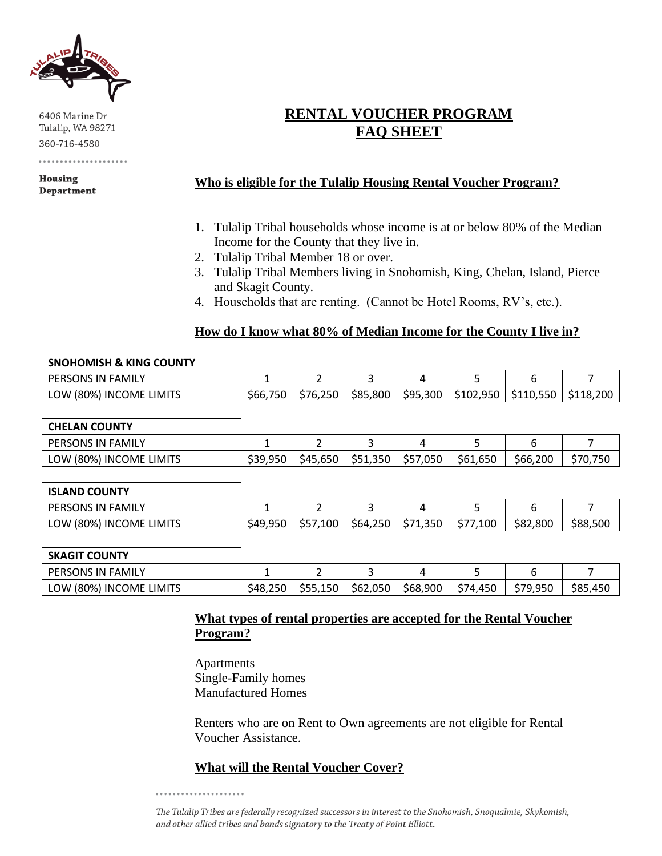

6406 Marine Dr Tulalip, WA 98271 360-716-4580

Housing **Department** 

# **RENTAL VOUCHER PROGRAM FAQ SHEET**

### **Who is eligible for the Tulalip Housing Rental Voucher Program?**

- 1. Tulalip Tribal households whose income is at or below 80% of the Median Income for the County that they live in.
- 2. Tulalip Tribal Member 18 or over.
- 3. Tulalip Tribal Members living in Snohomish, King, Chelan, Island, Pierce and Skagit County.
- 4. Households that are renting. (Cannot be Hotel Rooms, RV's, etc.).

### **How do I know what 80% of Median Income for the County I live in?**

| <b>SNOHOMISH &amp; KING COUNTY</b> |          |          |          |          |           |           |                         |
|------------------------------------|----------|----------|----------|----------|-----------|-----------|-------------------------|
| PERSONS IN FAMILY                  |          |          |          |          |           |           |                         |
| LOW (80%) INCOME LIMITS            | \$66,750 | \$76.250 | \$85,800 | \$95,300 | \$102,950 | \$110.550 | $\frac{1}{2}$ \$118,200 |

| <b>CHELAN COUNTY</b>     |          |          |          |          |          |          |          |
|--------------------------|----------|----------|----------|----------|----------|----------|----------|
| <b>PERSONS IN FAMILY</b> |          |          |          |          |          |          |          |
| LOW (80%) INCOME LIMITS  | \$39,950 | \$45,650 | \$51,350 | \$57,050 | \$61,650 | \$66,200 | \$70.750 |

| <b>ISLAND COUNTY</b>     |          |          |          |          |          |          |          |
|--------------------------|----------|----------|----------|----------|----------|----------|----------|
| <b>PERSONS IN FAMILY</b> |          |          |          |          |          |          |          |
| LOW (80%) INCOME LIMITS  | \$49,950 | \$57,100 | \$64,250 | \$71,350 | \$77,100 | \$82,800 | \$88,500 |

| <b>SKAGIT COUNTY</b>    |          |          |          |          |          |          |          |
|-------------------------|----------|----------|----------|----------|----------|----------|----------|
| PERSONS IN FAMILY       | -        | -        |          |          |          |          |          |
| LOW (80%) INCOME LIMITS | \$48.250 | \$55,150 | \$62,050 | \$68,900 | \$74,450 | \$79,950 | \$85,450 |

### **What types of rental properties are accepted for the Rental Voucher Program?**

Apartments Single-Family homes Manufactured Homes

Renters who are on Rent to Own agreements are not eligible for Rental Voucher Assistance.

## **What will the Rental Voucher Cover?**

The Tulalip Tribes are federally recognized successors in interest to the Snohomish, Snoqualmie, Skykomish, and other allied tribes and bands signatory to the Treaty of Point Elliott.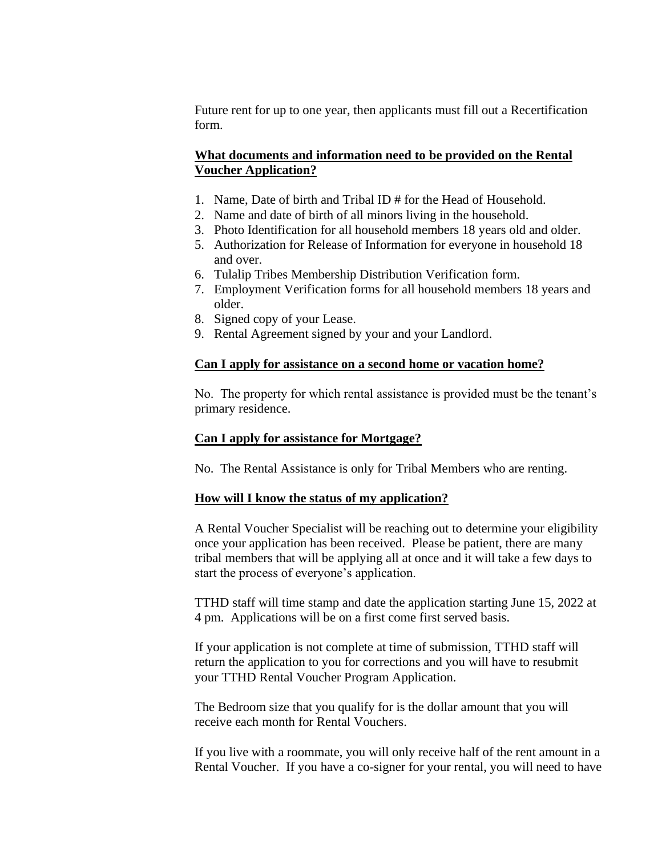Future rent for up to one year, then applicants must fill out a Recertification form.

### **What documents and information need to be provided on the Rental Voucher Application?**

- 1. Name, Date of birth and Tribal ID # for the Head of Household.
- 2. Name and date of birth of all minors living in the household.
- 3. Photo Identification for all household members 18 years old and older.
- 5. Authorization for Release of Information for everyone in household 18 and over.
- 6. Tulalip Tribes Membership Distribution Verification form.
- 7. Employment Verification forms for all household members 18 years and older.
- 8. Signed copy of your Lease.
- 9. Rental Agreement signed by your and your Landlord.

#### **Can I apply for assistance on a second home or vacation home?**

No. The property for which rental assistance is provided must be the tenant's primary residence.

### **Can I apply for assistance for Mortgage?**

No. The Rental Assistance is only for Tribal Members who are renting.

### **How will I know the status of my application?**

A Rental Voucher Specialist will be reaching out to determine your eligibility once your application has been received. Please be patient, there are many tribal members that will be applying all at once and it will take a few days to start the process of everyone's application.

TTHD staff will time stamp and date the application starting June 15, 2022 at 4 pm. Applications will be on a first come first served basis.

If your application is not complete at time of submission, TTHD staff will return the application to you for corrections and you will have to resubmit your TTHD Rental Voucher Program Application.

The Bedroom size that you qualify for is the dollar amount that you will receive each month for Rental Vouchers.

If you live with a roommate, you will only receive half of the rent amount in a Rental Voucher. If you have a co-signer for your rental, you will need to have